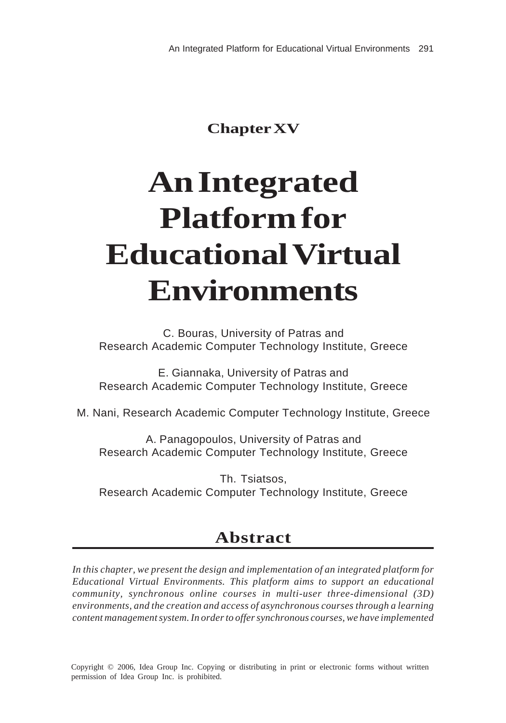# **Chapter XV**

# **An Integrated Platform for Educational Virtual Environments**

C. Bouras, University of Patras and Research Academic Computer Technology Institute, Greece

E. Giannaka, University of Patras and Research Academic Computer Technology Institute, Greece

M. Nani, Research Academic Computer Technology Institute, Greece

A. Panagopoulos, University of Patras and Research Academic Computer Technology Institute, Greece

Th. Tsiatsos, Research Academic Computer Technology Institute, Greece

# **Abstract**

*In this chapter, we present the design and implementation of an integrated platform for Educational Virtual Environments. This platform aims to support an educational community, synchronous online courses in multi-user three-dimensional (3D) environments, and the creation and access of asynchronous courses through a learning content management system. In order to offer synchronous courses, we have implemented*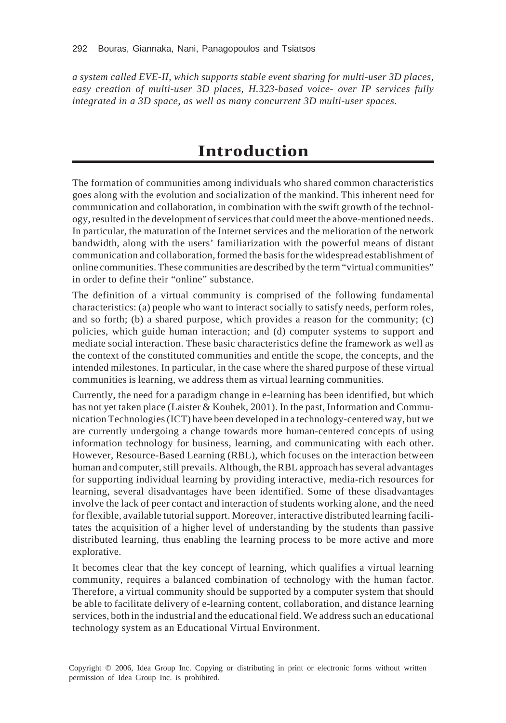*a system called EVE-II, which supports stable event sharing for multi-user 3D places, easy creation of multi-user 3D places, H.323-based voice- over IP services fully integrated in a 3D space, as well as many concurrent 3D multi-user spaces.*

# **Introduction**

The formation of communities among individuals who shared common characteristics goes along with the evolution and socialization of the mankind. This inherent need for communication and collaboration, in combination with the swift growth of the technology, resulted in the development of services that could meet the above-mentioned needs. In particular, the maturation of the Internet services and the melioration of the network bandwidth, along with the users' familiarization with the powerful means of distant communication and collaboration, formed the basis for the widespread establishment of online communities. These communities are described by the term "virtual communities" in order to define their "online" substance.

The definition of a virtual community is comprised of the following fundamental characteristics: (a) people who want to interact socially to satisfy needs, perform roles, and so forth; (b) a shared purpose, which provides a reason for the community; (c) policies, which guide human interaction; and (d) computer systems to support and mediate social interaction. These basic characteristics define the framework as well as the context of the constituted communities and entitle the scope, the concepts, and the intended milestones. In particular, in the case where the shared purpose of these virtual communities is learning, we address them as virtual learning communities.

Currently, the need for a paradigm change in e-learning has been identified, but which has not yet taken place (Laister & Koubek, 2001). In the past, Information and Communication Technologies (ICT) have been developed in a technology-centered way, but we are currently undergoing a change towards more human-centered concepts of using information technology for business, learning, and communicating with each other. However, Resource-Based Learning (RBL), which focuses on the interaction between human and computer, still prevails. Although, the RBL approach has several advantages for supporting individual learning by providing interactive, media-rich resources for learning, several disadvantages have been identified. Some of these disadvantages involve the lack of peer contact and interaction of students working alone, and the need for flexible, available tutorial support. Moreover, interactive distributed learning facilitates the acquisition of a higher level of understanding by the students than passive distributed learning, thus enabling the learning process to be more active and more explorative.

It becomes clear that the key concept of learning, which qualifies a virtual learning community, requires a balanced combination of technology with the human factor. Therefore, a virtual community should be supported by a computer system that should be able to facilitate delivery of e-learning content, collaboration, and distance learning services, both in the industrial and the educational field. We address such an educational technology system as an Educational Virtual Environment.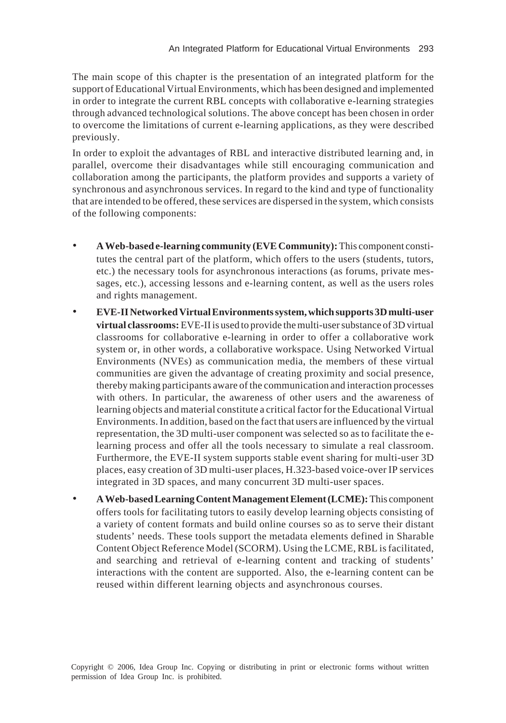The main scope of this chapter is the presentation of an integrated platform for the support of Educational Virtual Environments, which has been designed and implemented in order to integrate the current RBL concepts with collaborative e-learning strategies through advanced technological solutions. The above concept has been chosen in order to overcome the limitations of current e-learning applications, as they were described previously.

In order to exploit the advantages of RBL and interactive distributed learning and, in parallel, overcome their disadvantages while still encouraging communication and collaboration among the participants, the platform provides and supports a variety of synchronous and asynchronous services. In regard to the kind and type of functionality that are intended to be offered, these services are dispersed in the system, which consists of the following components:

- **A Web-based e-learning community (EVE Community):** This component constitutes the central part of the platform, which offers to the users (students, tutors, etc.) the necessary tools for asynchronous interactions (as forums, private messages, etc.), accessing lessons and e-learning content, as well as the users roles and rights management.
- **EVE-II Networked Virtual Environments system, which supports 3D multi-user virtual classrooms:** EVE-II is used to provide the multi-user substance of 3D virtual classrooms for collaborative e-learning in order to offer a collaborative work system or, in other words, a collaborative workspace. Using Networked Virtual Environments (NVEs) as communication media, the members of these virtual communities are given the advantage of creating proximity and social presence, thereby making participants aware of the communication and interaction processes with others. In particular, the awareness of other users and the awareness of learning objects and material constitute a critical factor for the Educational Virtual Environments. In addition, based on the fact that users are influenced by the virtual representation, the 3D multi-user component was selected so as to facilitate the elearning process and offer all the tools necessary to simulate a real classroom. Furthermore, the EVE-II system supports stable event sharing for multi-user 3D places, easy creation of 3D multi-user places, H.323-based voice-over IP services integrated in 3D spaces, and many concurrent 3D multi-user spaces.
- **A Web-based Learning Content Management Element (LCME):** This component offers tools for facilitating tutors to easily develop learning objects consisting of a variety of content formats and build online courses so as to serve their distant students' needs. These tools support the metadata elements defined in Sharable Content Object Reference Model (SCORM). Using the LCME, RBL is facilitated, and searching and retrieval of e-learning content and tracking of students' interactions with the content are supported. Also, the e-learning content can be reused within different learning objects and asynchronous courses.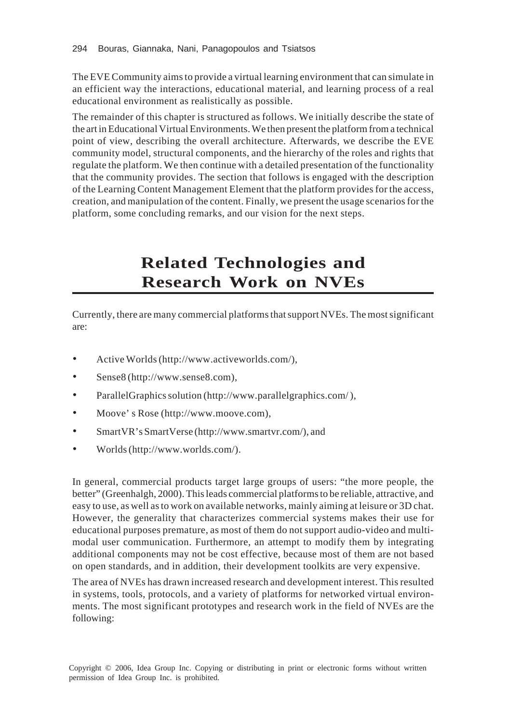The EVE Community aims to provide a virtual learning environment that can simulate in an efficient way the interactions, educational material, and learning process of a real educational environment as realistically as possible.

The remainder of this chapter is structured as follows. We initially describe the state of the art in Educational Virtual Environments. We then present the platform from a technical point of view, describing the overall architecture. Afterwards, we describe the EVE community model, structural components, and the hierarchy of the roles and rights that regulate the platform. We then continue with a detailed presentation of the functionality that the community provides. The section that follows is engaged with the description of the Learning Content Management Element that the platform provides for the access, creation, and manipulation of the content. Finally, we present the usage scenarios for the platform, some concluding remarks, and our vision for the next steps.

# **Related Technologies and Research Work on NVEs**

Currently, there are many commercial platforms that support NVEs. The most significant are:

- Active Worlds (http://www.activeworlds.com/),
- Sense8 (http://www.sense8.com),
- ParallelGraphics solution (http://www.parallelgraphics.com/ ),
- Moove' s Rose (http://www.moove.com),
- SmartVR's SmartVerse (http://www.smartvr.com/), and
- Worlds (http://www.worlds.com/).

In general, commercial products target large groups of users: "the more people, the better" (Greenhalgh, 2000). This leads commercial platforms to be reliable, attractive, and easy to use, as well as to work on available networks, mainly aiming at leisure or 3D chat. However, the generality that characterizes commercial systems makes their use for educational purposes premature, as most of them do not support audio-video and multimodal user communication. Furthermore, an attempt to modify them by integrating additional components may not be cost effective, because most of them are not based on open standards, and in addition, their development toolkits are very expensive.

The area of NVEs has drawn increased research and development interest. This resulted in systems, tools, protocols, and a variety of platforms for networked virtual environments. The most significant prototypes and research work in the field of NVEs are the following: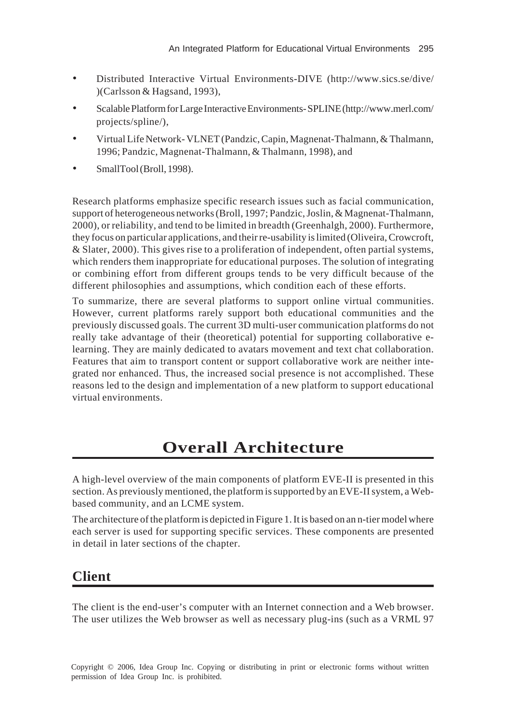- Distributed Interactive Virtual Environments-DIVE (http://www.sics.se/dive/ )(Carlsson & Hagsand, 1993),
- Scalable Platform for Large Interactive Environments- SPLINE (http://www.merl.com/ projects/spline/),
- Virtual Life Network- VLNET (Pandzic, Capin, Magnenat-Thalmann, & Thalmann, 1996; Pandzic, Magnenat-Thalmann, & Thalmann, 1998), and
- SmallTool (Broll, 1998).

Research platforms emphasize specific research issues such as facial communication, support of heterogeneous networks (Broll, 1997; Pandzic, Joslin, & Magnenat-Thalmann, 2000), or reliability, and tend to be limited in breadth (Greenhalgh, 2000). Furthermore, they focus on particular applications, and their re-usability is limited (Oliveira, Crowcroft, & Slater, 2000). This gives rise to a proliferation of independent, often partial systems, which renders them inappropriate for educational purposes. The solution of integrating or combining effort from different groups tends to be very difficult because of the different philosophies and assumptions, which condition each of these efforts.

To summarize, there are several platforms to support online virtual communities. However, current platforms rarely support both educational communities and the previously discussed goals. The current 3D multi-user communication platforms do not really take advantage of their (theoretical) potential for supporting collaborative elearning. They are mainly dedicated to avatars movement and text chat collaboration. Features that aim to transport content or support collaborative work are neither integrated nor enhanced. Thus, the increased social presence is not accomplished. These reasons led to the design and implementation of a new platform to support educational virtual environments.

# **Overall Architecture**

A high-level overview of the main components of platform EVE-II is presented in this section. As previously mentioned, the platform is supported by an EVE-II system, a Webbased community, and an LCME system.

The architecture of the platform is depicted in Figure 1. It is based on an n-tier model where each server is used for supporting specific services. These components are presented in detail in later sections of the chapter.

### **Client**

The client is the end-user's computer with an Internet connection and a Web browser. The user utilizes the Web browser as well as necessary plug-ins (such as a VRML 97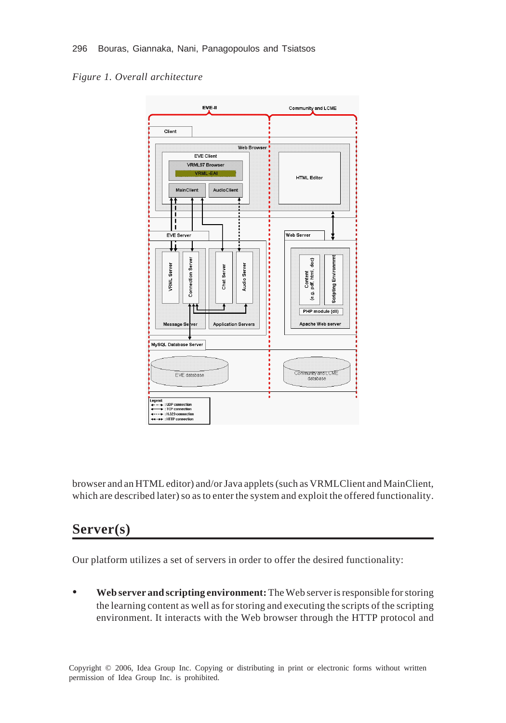*Figure 1. Overall architecture*



browser and an HTML editor) and/or Java applets (such as VRMLClient and MainClient, which are described later) so as to enter the system and exploit the offered functionality.

# **Server(s)**

Our platform utilizes a set of servers in order to offer the desired functionality:

**• Web server and scripting environment:** The Web server is responsible for storing the learning content as well as for storing and executing the scripts of the scripting environment. It interacts with the Web browser through the HTTP protocol and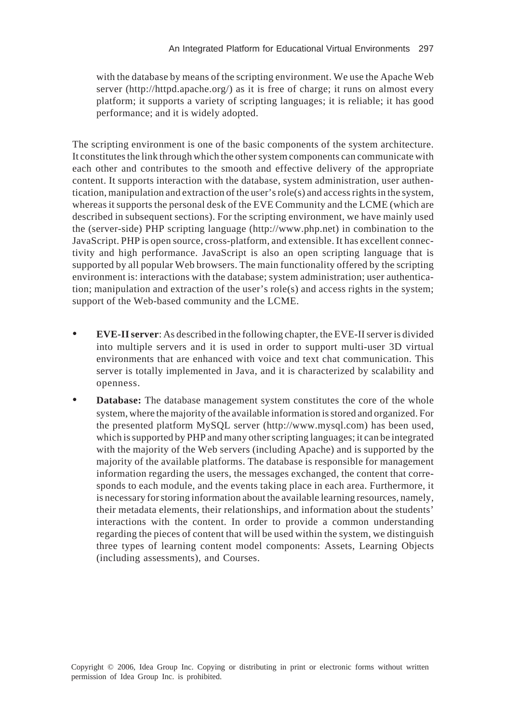with the database by means of the scripting environment. We use the Apache Web server (http://httpd.apache.org/) as it is free of charge; it runs on almost every platform; it supports a variety of scripting languages; it is reliable; it has good performance; and it is widely adopted.

The scripting environment is one of the basic components of the system architecture. It constitutes the link through which the other system components can communicate with each other and contributes to the smooth and effective delivery of the appropriate content. It supports interaction with the database, system administration, user authentication, manipulation and extraction of the user's role(s) and access rights in the system, whereas it supports the personal desk of the EVE Community and the LCME (which are described in subsequent sections). For the scripting environment, we have mainly used the (server-side) PHP scripting language (http://www.php.net) in combination to the JavaScript. PHP is open source, cross-platform, and extensible. It has excellent connectivity and high performance. JavaScript is also an open scripting language that is supported by all popular Web browsers. The main functionality offered by the scripting environment is: interactions with the database; system administration; user authentication; manipulation and extraction of the user's role(s) and access rights in the system; support of the Web-based community and the LCME.

- **• EVE-II server**: As described in the following chapter, the EVE-II server is divided into multiple servers and it is used in order to support multi-user 3D virtual environments that are enhanced with voice and text chat communication. This server is totally implemented in Java, and it is characterized by scalability and openness.
- **Database:** The database management system constitutes the core of the whole system, where the majority of the available information is stored and organized. For the presented platform MySQL server (http://www.mysql.com) has been used, which is supported by PHP and many other scripting languages; it can be integrated with the majority of the Web servers (including Apache) and is supported by the majority of the available platforms. The database is responsible for management information regarding the users, the messages exchanged, the content that corresponds to each module, and the events taking place in each area. Furthermore, it is necessary for storing information about the available learning resources, namely, their metadata elements, their relationships, and information about the students' interactions with the content. In order to provide a common understanding regarding the pieces of content that will be used within the system, we distinguish three types of learning content model components: Assets, Learning Objects (including assessments), and Courses.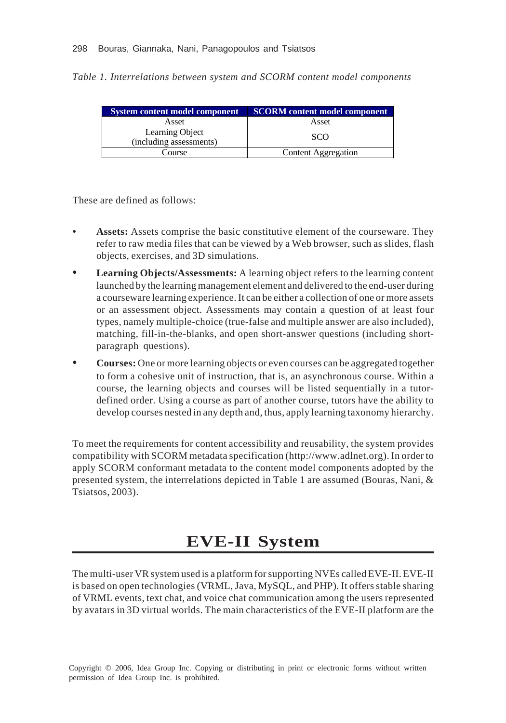*Table 1. Interrelations between system and SCORM content model components*

| <b>System content model component</b>      | <b>SCORM</b> content model component |
|--------------------------------------------|--------------------------------------|
| Asset                                      | Asset                                |
| Learning Object<br>(including assessments) | SCO.                                 |
| Course                                     | <b>Content Aggregation</b>           |

These are defined as follows:

- **Assets:** Assets comprise the basic constitutive element of the courseware. They refer to raw media files that can be viewed by a Web browser, such as slides, flash objects, exercises, and 3D simulations.
- **• Learning Objects/Assessments:** A learning object refers to the learning content launched by the learning management element and delivered to the end-user during a courseware learning experience. It can be either a collection of one or more assets or an assessment object. Assessments may contain a question of at least four types, namely multiple-choice (true-false and multiple answer are also included), matching, fill-in-the-blanks, and open short-answer questions (including shortparagraph questions).
- **• Courses:** One or more learning objects or even courses can be aggregated together to form a cohesive unit of instruction, that is, an asynchronous course. Within a course, the learning objects and courses will be listed sequentially in a tutordefined order. Using a course as part of another course, tutors have the ability to develop courses nested in any depth and, thus, apply learning taxonomy hierarchy.

To meet the requirements for content accessibility and reusability, the system provides compatibility with SCORM metadata specification (http://www.adlnet.org). In order to apply SCORM conformant metadata to the content model components adopted by the presented system, the interrelations depicted in Table 1 are assumed (Bouras, Nani, & Tsiatsos, 2003).

# **EVE-II System**

The multi-user VR system used is a platform for supporting NVEs called EVE-II. EVE-II is based on open technologies (VRML, Java, MySQL, and PHP). It offers stable sharing of VRML events, text chat, and voice chat communication among the users represented by avatars in 3D virtual worlds. The main characteristics of the EVE-II platform are the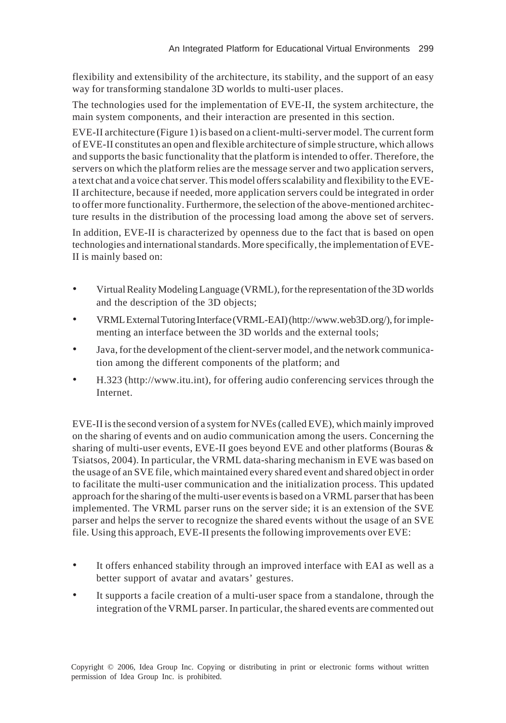flexibility and extensibility of the architecture, its stability, and the support of an easy way for transforming standalone 3D worlds to multi-user places.

The technologies used for the implementation of EVE-II, the system architecture, the main system components, and their interaction are presented in this section.

EVE-II architecture (Figure 1) is based on a client-multi-server model. The current form of EVE-II constitutes an open and flexible architecture of simple structure, which allows and supports the basic functionality that the platform is intended to offer. Therefore, the servers on which the platform relies are the message server and two application servers, a text chat and a voice chat server. This model offers scalability and flexibility to the EVE-II architecture, because if needed, more application servers could be integrated in order to offer more functionality. Furthermore, the selection of the above-mentioned architecture results in the distribution of the processing load among the above set of servers.

In addition, EVE-II is characterized by openness due to the fact that is based on open technologies and international standards. More specifically, the implementation of EVE-II is mainly based on:

- Virtual Reality Modeling Language (VRML), for the representation of the 3D worlds and the description of the 3D objects;
- VRML External Tutoring Interface (VRML-EAI) (http://www.web3D.org/), for implementing an interface between the 3D worlds and the external tools;
- Java, for the development of the client-server model, and the network communication among the different components of the platform; and
- H.323 (http://www.itu.int), for offering audio conferencing services through the Internet.

EVE-II is the second version of a system for NVEs (called EVE), which mainly improved on the sharing of events and on audio communication among the users. Concerning the sharing of multi-user events, EVE-II goes beyond EVE and other platforms (Bouras & Tsiatsos, 2004). In particular, the VRML data-sharing mechanism in EVE was based on the usage of an SVE file, which maintained every shared event and shared object in order to facilitate the multi-user communication and the initialization process. This updated approach for the sharing of the multi-user events is based on a VRML parser that has been implemented. The VRML parser runs on the server side; it is an extension of the SVE parser and helps the server to recognize the shared events without the usage of an SVE file. Using this approach, EVE-II presents the following improvements over EVE:

- It offers enhanced stability through an improved interface with EAI as well as a better support of avatar and avatars' gestures.
- It supports a facile creation of a multi-user space from a standalone, through the integration of the VRML parser. In particular, the shared events are commented out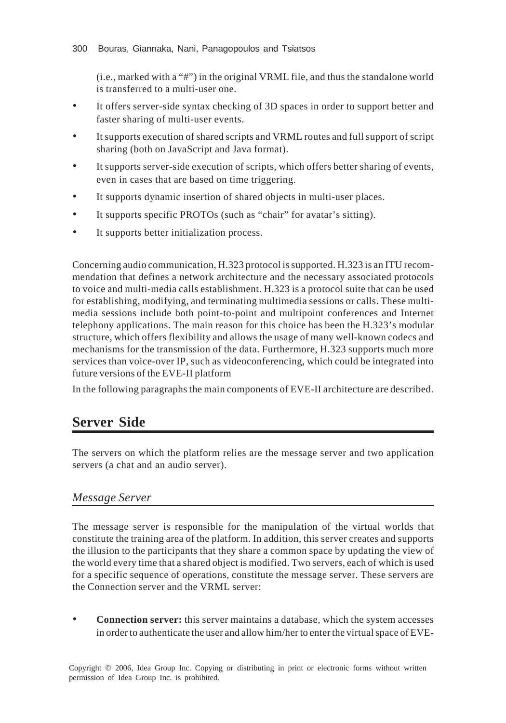(i.e., marked with a "#") in the original VRML file, and thus the standalone world is transferred to a multi-user one.

- It offers server-side syntax checking of 3D spaces in order to support better and faster sharing of multi-user events.
- It supports execution of shared scripts and VRML routes and full support of script sharing (both on JavaScript and Java format).
- It supports server-side execution of scripts, which offers better sharing of events, even in cases that are based on time triggering.
- It supports dynamic insertion of shared objects in multi-user places.
- It supports specific PROTOs (such as "chair" for avatar's sitting).
- It supports better initialization process.

Concerning audio communication, H.323 protocol is supported. H.323 is an ITU recommendation that defines a network architecture and the necessary associated protocols to voice and multi-media calls establishment. H.323 is a protocol suite that can be used for establishing, modifying, and terminating multimedia sessions or calls. These multimedia sessions include both point-to-point and multipoint conferences and Internet telephony applications. The main reason for this choice has been the H.323's modular structure, which offers flexibility and allows the usage of many well-known codecs and mechanisms for the transmission of the data. Furthermore, H.323 supports much more services than voice-over IP, such as videoconferencing, which could be integrated into future versions of the EVE-II platform

In the following paragraphs the main components of EVE-II architecture are described.

# **Server Side**

The servers on which the platform relies are the message server and two application servers (a chat and an audio server).

#### *Message Server*

The message server is responsible for the manipulation of the virtual worlds that constitute the training area of the platform. In addition, this server creates and supports the illusion to the participants that they share a common space by updating the view of the world every time that a shared object is modified. Two servers, each of which is used for a specific sequence of operations, constitute the message server. These servers are the Connection server and the VRML server:

• **Connection server:** this server maintains a database, which the system accesses in order to authenticate the user and allow him/her to enter the virtual space of EVE-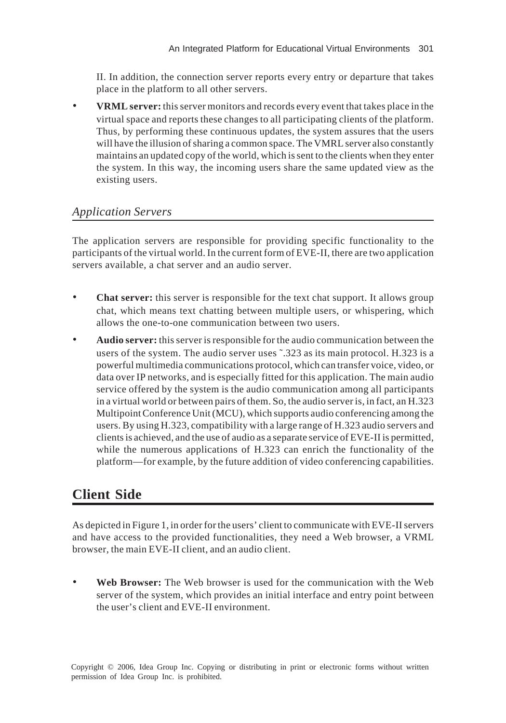II. In addition, the connection server reports every entry or departure that takes place in the platform to all other servers.

• **VRML server:** this server monitors and records every event that takes place in the virtual space and reports these changes to all participating clients of the platform. Thus, by performing these continuous updates, the system assures that the users will have the illusion of sharing a common space. The VMRL server also constantly maintains an updated copy of the world, which is sent to the clients when they enter the system. In this way, the incoming users share the same updated view as the existing users.

#### *Application Servers*

The application servers are responsible for providing specific functionality to the participants of the virtual world. In the current form of EVE-II, there are two application servers available, a chat server and an audio server.

- **Chat server:** this server is responsible for the text chat support. It allows group chat, which means text chatting between multiple users, or whispering, which allows the one-to-one communication between two users.
- **Audio server:** this server is responsible for the audio communication between the users of the system. The audio server uses ˜.323 as its main protocol. H.323 is a powerful multimedia communications protocol, which can transfer voice, video, or data over IP networks, and is especially fitted for this application. The main audio service offered by the system is the audio communication among all participants in a virtual world or between pairs of them. So, the audio server is, in fact, an H.323 Multipoint Conference Unit (MCU), which supports audio conferencing among the users. By using H.323, compatibility with a large range of H.323 audio servers and clients is achieved, and the use of audio as a separate service of EVE-II is permitted, while the numerous applications of H.323 can enrich the functionality of the platform—for example, by the future addition of video conferencing capabilities.

### **Client Side**

As depicted in Figure 1, in order for the users' client to communicate with EVE-II servers and have access to the provided functionalities, they need a Web browser, a VRML browser, the main EVE-II client, and an audio client.

• **Web Browser:** The Web browser is used for the communication with the Web server of the system, which provides an initial interface and entry point between the user's client and EVE-II environment.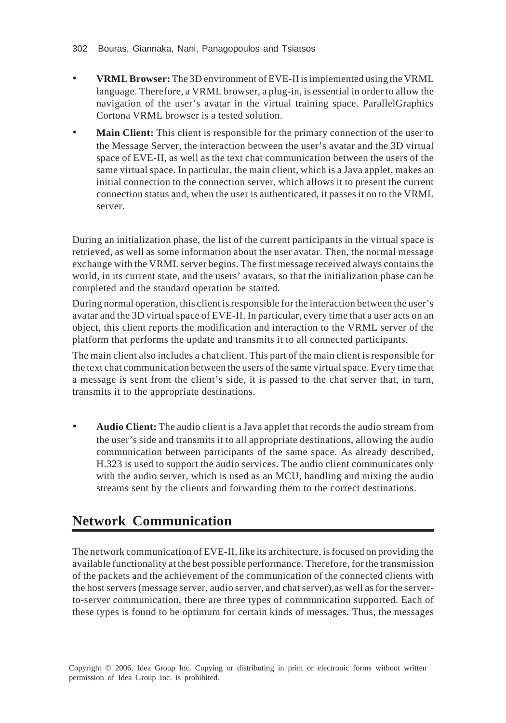- **VRML Browser:** The 3D environment of EVE-II is implemented using the VRML language. Therefore, a VRML browser, a plug-in, is essential in order to allow the navigation of the user's avatar in the virtual training space. ParallelGraphics Cortona VRML browser is a tested solution.
- **Main Client:** This client is responsible for the primary connection of the user to the Message Server, the interaction between the user's avatar and the 3D virtual space of EVE-II, as well as the text chat communication between the users of the same virtual space. In particular, the main client, which is a Java applet, makes an initial connection to the connection server, which allows it to present the current connection status and, when the user is authenticated, it passes it on to the VRML server.

During an initialization phase, the list of the current participants in the virtual space is retrieved, as well as some information about the user avatar. Then, the normal message exchange with the VRML server begins. The first message received always contains the world, in its current state, and the users' avatars, so that the initialization phase can be completed and the standard operation be started.

During normal operation, this client is responsible for the interaction between the user's avatar and the 3D virtual space of EVE-II. In particular, every time that a user acts on an object, this client reports the modification and interaction to the VRML server of the platform that performs the update and transmits it to all connected participants.

The main client also includes a chat client. This part of the main client is responsible for the text chat communication between the users of the same virtual space. Every time that a message is sent from the client's side, it is passed to the chat server that, in turn, transmits it to the appropriate destinations.

• **Audio Client:** The audio client is a Java applet that records the audio stream from the user's side and transmits it to all appropriate destinations, allowing the audio communication between participants of the same space. As already described, H.323 is used to support the audio services. The audio client communicates only with the audio server, which is used as an MCU, handling and mixing the audio streams sent by the clients and forwarding them to the correct destinations.

# **Network Communication**

The network communication of EVE-II, like its architecture, is focused on providing the available functionality at the best possible performance. Therefore, for the transmission of the packets and the achievement of the communication of the connected clients with the host servers (message server, audio server, and chat server),as well as for the serverto-server communication, there are three types of communication supported. Each of these types is found to be optimum for certain kinds of messages. Thus, the messages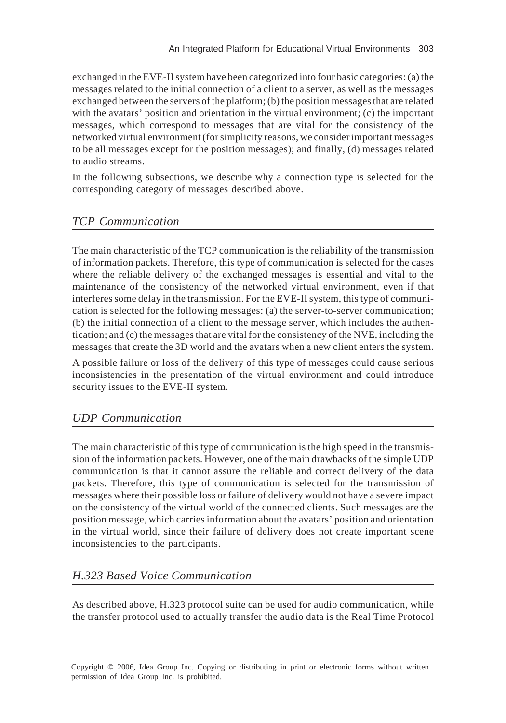exchanged in the EVE-II system have been categorized into four basic categories: (a) the messages related to the initial connection of a client to a server, as well as the messages exchanged between the servers of the platform; (b) the position messages that are related with the avatars' position and orientation in the virtual environment; (c) the important messages, which correspond to messages that are vital for the consistency of the networked virtual environment (for simplicity reasons, we consider important messages to be all messages except for the position messages); and finally, (d) messages related to audio streams.

In the following subsections, we describe why a connection type is selected for the corresponding category of messages described above.

#### *TCP Communication*

The main characteristic of the TCP communication is the reliability of the transmission of information packets. Therefore, this type of communication is selected for the cases where the reliable delivery of the exchanged messages is essential and vital to the maintenance of the consistency of the networked virtual environment, even if that interferes some delay in the transmission. For the EVE-II system, this type of communication is selected for the following messages: (a) the server-to-server communication; (b) the initial connection of a client to the message server, which includes the authentication; and (c) the messages that are vital for the consistency of the NVE, including the messages that create the 3D world and the avatars when a new client enters the system.

A possible failure or loss of the delivery of this type of messages could cause serious inconsistencies in the presentation of the virtual environment and could introduce security issues to the EVE-II system.

#### *UDP Communication*

The main characteristic of this type of communication is the high speed in the transmission of the information packets. However, one of the main drawbacks of the simple UDP communication is that it cannot assure the reliable and correct delivery of the data packets. Therefore, this type of communication is selected for the transmission of messages where their possible loss or failure of delivery would not have a severe impact on the consistency of the virtual world of the connected clients. Such messages are the position message, which carries information about the avatars' position and orientation in the virtual world, since their failure of delivery does not create important scene inconsistencies to the participants.

#### *H.323 Based Voice Communication*

As described above, H.323 protocol suite can be used for audio communication, while the transfer protocol used to actually transfer the audio data is the Real Time Protocol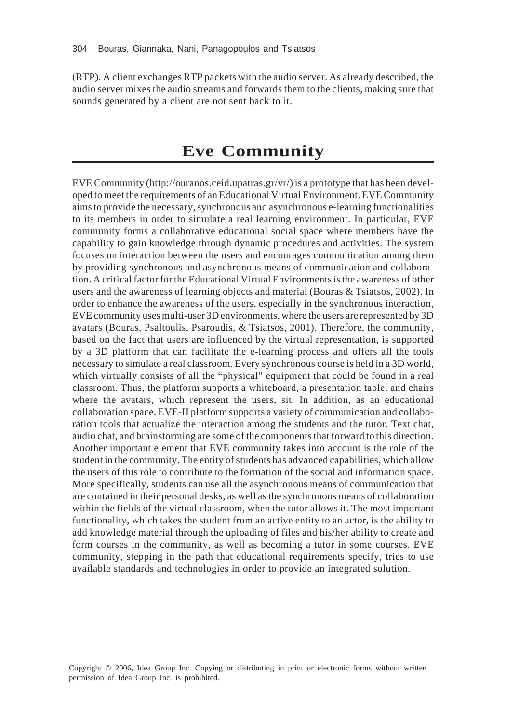(RTP). A client exchanges RTP packets with the audio server. As already described, the audio server mixes the audio streams and forwards them to the clients, making sure that sounds generated by a client are not sent back to it.

# **Eve Community**

EVE Community (http://ouranos.ceid.upatras.gr/vr/) is a prototype that has been developed to meet the requirements of an Educational Virtual Environment. EVE Community aims to provide the necessary, synchronous and asynchronous e-learning functionalities to its members in order to simulate a real learning environment. In particular, EVE community forms a collaborative educational social space where members have the capability to gain knowledge through dynamic procedures and activities. The system focuses on interaction between the users and encourages communication among them by providing synchronous and asynchronous means of communication and collaboration. A critical factor for the Educational Virtual Environments is the awareness of other users and the awareness of learning objects and material (Bouras & Tsiatsos, 2002). In order to enhance the awareness of the users, especially in the synchronous interaction, EVE community uses multi-user 3D environments, where the users are represented by 3D avatars (Bouras, Psaltoulis, Psaroudis, & Tsiatsos, 2001). Therefore, the community, based on the fact that users are influenced by the virtual representation, is supported by a 3D platform that can facilitate the e-learning process and offers all the tools necessary to simulate a real classroom. Every synchronous course is held in a 3D world, which virtually consists of all the "physical" equipment that could be found in a real classroom. Thus, the platform supports a whiteboard, a presentation table, and chairs where the avatars, which represent the users, sit. In addition, as an educational collaboration space, EVE-II platform supports a variety of communication and collaboration tools that actualize the interaction among the students and the tutor. Text chat, audio chat, and brainstorming are some of the components that forward to this direction. Another important element that EVE community takes into account is the role of the student in the community. The entity of students has advanced capabilities, which allow the users of this role to contribute to the formation of the social and information space. More specifically, students can use all the asynchronous means of communication that are contained in their personal desks, as well as the synchronous means of collaboration within the fields of the virtual classroom, when the tutor allows it. The most important functionality, which takes the student from an active entity to an actor, is the ability to add knowledge material through the uploading of files and his/her ability to create and form courses in the community, as well as becoming a tutor in some courses. EVE community, stepping in the path that educational requirements specify, tries to use available standards and technologies in order to provide an integrated solution.

Copyright © 2006, Idea Group Inc. Copying or distributing in print or electronic forms without written permission of Idea Group Inc. is prohibited.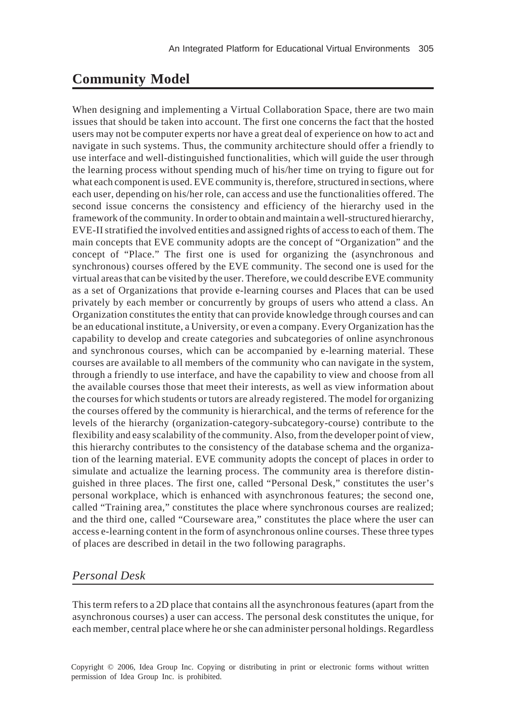# **Community Model**

When designing and implementing a Virtual Collaboration Space, there are two main issues that should be taken into account. The first one concerns the fact that the hosted users may not be computer experts nor have a great deal of experience on how to act and navigate in such systems. Thus, the community architecture should offer a friendly to use interface and well-distinguished functionalities, which will guide the user through the learning process without spending much of his/her time on trying to figure out for what each component is used. EVE community is, therefore, structured in sections, where each user, depending on his/her role, can access and use the functionalities offered. The second issue concerns the consistency and efficiency of the hierarchy used in the framework of the community. In order to obtain and maintain a well-structured hierarchy, EVE-II stratified the involved entities and assigned rights of access to each of them. The main concepts that EVE community adopts are the concept of "Organization" and the concept of "Place." The first one is used for organizing the (asynchronous and synchronous) courses offered by the EVE community. The second one is used for the virtual areas that can be visited by the user. Therefore, we could describe EVE community as a set of Organizations that provide e-learning courses and Places that can be used privately by each member or concurrently by groups of users who attend a class. An Organization constitutes the entity that can provide knowledge through courses and can be an educational institute, a University, or even a company. Every Organization has the capability to develop and create categories and subcategories of online asynchronous and synchronous courses, which can be accompanied by e-learning material. These courses are available to all members of the community who can navigate in the system, through a friendly to use interface, and have the capability to view and choose from all the available courses those that meet their interests, as well as view information about the courses for which students or tutors are already registered. The model for organizing the courses offered by the community is hierarchical, and the terms of reference for the levels of the hierarchy (organization-category-subcategory-course) contribute to the flexibility and easy scalability of the community. Also, from the developer point of view, this hierarchy contributes to the consistency of the database schema and the organization of the learning material. EVE community adopts the concept of places in order to simulate and actualize the learning process. The community area is therefore distinguished in three places. The first one, called "Personal Desk," constitutes the user's personal workplace, which is enhanced with asynchronous features; the second one, called "Training area," constitutes the place where synchronous courses are realized; and the third one, called "Courseware area," constitutes the place where the user can access e-learning content in the form of asynchronous online courses. These three types of places are described in detail in the two following paragraphs.

#### *Personal Desk*

This term refers to a 2D place that contains all the asynchronous features (apart from the asynchronous courses) a user can access. The personal desk constitutes the unique, for each member, central place where he or she can administer personal holdings. Regardless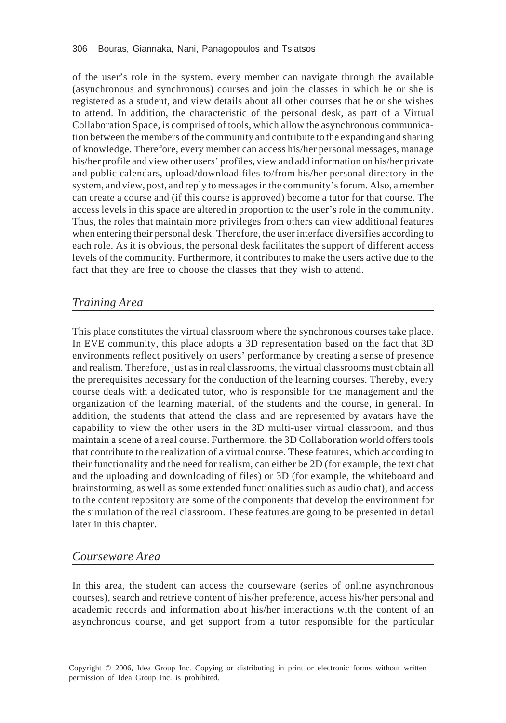of the user's role in the system, every member can navigate through the available (asynchronous and synchronous) courses and join the classes in which he or she is registered as a student, and view details about all other courses that he or she wishes to attend. In addition, the characteristic of the personal desk, as part of a Virtual Collaboration Space, is comprised of tools, which allow the asynchronous communication between the members of the community and contribute to the expanding and sharing of knowledge. Therefore, every member can access his/her personal messages, manage his/her profile and view other users' profiles, view and add information on his/her private and public calendars, upload/download files to/from his/her personal directory in the system, and view, post, and reply to messages in the community's forum. Also, a member can create a course and (if this course is approved) become a tutor for that course. The access levels in this space are altered in proportion to the user's role in the community. Thus, the roles that maintain more privileges from others can view additional features when entering their personal desk. Therefore, the user interface diversifies according to each role. As it is obvious, the personal desk facilitates the support of different access levels of the community. Furthermore, it contributes to make the users active due to the fact that they are free to choose the classes that they wish to attend.

#### *Training Area*

This place constitutes the virtual classroom where the synchronous courses take place. In EVE community, this place adopts a 3D representation based on the fact that 3D environments reflect positively on users' performance by creating a sense of presence and realism. Therefore, just as in real classrooms, the virtual classrooms must obtain all the prerequisites necessary for the conduction of the learning courses. Thereby, every course deals with a dedicated tutor, who is responsible for the management and the organization of the learning material, of the students and the course, in general. In addition, the students that attend the class and are represented by avatars have the capability to view the other users in the 3D multi-user virtual classroom, and thus maintain a scene of a real course. Furthermore, the 3D Collaboration world offers tools that contribute to the realization of a virtual course. These features, which according to their functionality and the need for realism, can either be 2D (for example, the text chat and the uploading and downloading of files) or 3D (for example, the whiteboard and brainstorming, as well as some extended functionalities such as audio chat), and access to the content repository are some of the components that develop the environment for the simulation of the real classroom. These features are going to be presented in detail later in this chapter.

#### *Courseware Area*

In this area, the student can access the courseware (series of online asynchronous courses), search and retrieve content of his/her preference, access his/her personal and academic records and information about his/her interactions with the content of an asynchronous course, and get support from a tutor responsible for the particular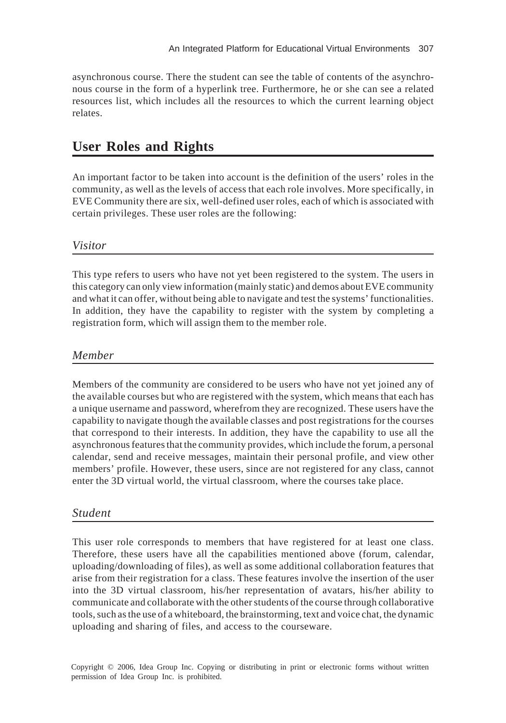asynchronous course. There the student can see the table of contents of the asynchronous course in the form of a hyperlink tree. Furthermore, he or she can see a related resources list, which includes all the resources to which the current learning object relates.

### **User Roles and Rights**

An important factor to be taken into account is the definition of the users' roles in the community, as well as the levels of access that each role involves. More specifically, in EVE Community there are six, well-defined user roles, each of which is associated with certain privileges. These user roles are the following:

#### *Visitor*

This type refers to users who have not yet been registered to the system. The users in this category can only view information (mainly static) and demos about EVE community and what it can offer, without being able to navigate and test the systems' functionalities. In addition, they have the capability to register with the system by completing a registration form, which will assign them to the member role.

#### *Member*

Members of the community are considered to be users who have not yet joined any of the available courses but who are registered with the system, which means that each has a unique username and password, wherefrom they are recognized. These users have the capability to navigate though the available classes and post registrations for the courses that correspond to their interests. In addition, they have the capability to use all the asynchronous features that the community provides, which include the forum, a personal calendar, send and receive messages, maintain their personal profile, and view other members' profile. However, these users, since are not registered for any class, cannot enter the 3D virtual world, the virtual classroom, where the courses take place.

#### *Student*

This user role corresponds to members that have registered for at least one class. Therefore, these users have all the capabilities mentioned above (forum, calendar, uploading/downloading of files), as well as some additional collaboration features that arise from their registration for a class. These features involve the insertion of the user into the 3D virtual classroom, his/her representation of avatars, his/her ability to communicate and collaborate with the other students of the course through collaborative tools, such as the use of a whiteboard, the brainstorming, text and voice chat, the dynamic uploading and sharing of files, and access to the courseware.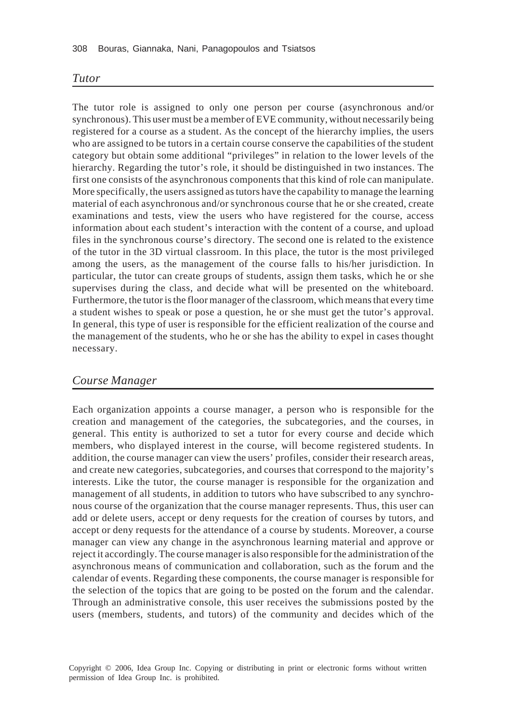#### *Tutor*

The tutor role is assigned to only one person per course (asynchronous and/or synchronous). This user must be a member of EVE community, without necessarily being registered for a course as a student. As the concept of the hierarchy implies, the users who are assigned to be tutors in a certain course conserve the capabilities of the student category but obtain some additional "privileges" in relation to the lower levels of the hierarchy. Regarding the tutor's role, it should be distinguished in two instances. The first one consists of the asynchronous components that this kind of role can manipulate. More specifically, the users assigned as tutors have the capability to manage the learning material of each asynchronous and/or synchronous course that he or she created, create examinations and tests, view the users who have registered for the course, access information about each student's interaction with the content of a course, and upload files in the synchronous course's directory. The second one is related to the existence of the tutor in the 3D virtual classroom. In this place, the tutor is the most privileged among the users, as the management of the course falls to his/her jurisdiction. In particular, the tutor can create groups of students, assign them tasks, which he or she supervises during the class, and decide what will be presented on the whiteboard. Furthermore, the tutor is the floor manager of the classroom, which means that every time a student wishes to speak or pose a question, he or she must get the tutor's approval. In general, this type of user is responsible for the efficient realization of the course and the management of the students, who he or she has the ability to expel in cases thought necessary.

#### *Course Manager*

Each organization appoints a course manager, a person who is responsible for the creation and management of the categories, the subcategories, and the courses, in general. This entity is authorized to set a tutor for every course and decide which members, who displayed interest in the course, will become registered students. In addition, the course manager can view the users' profiles, consider their research areas, and create new categories, subcategories, and courses that correspond to the majority's interests. Like the tutor, the course manager is responsible for the organization and management of all students, in addition to tutors who have subscribed to any synchronous course of the organization that the course manager represents. Thus, this user can add or delete users, accept or deny requests for the creation of courses by tutors, and accept or deny requests for the attendance of a course by students. Moreover, a course manager can view any change in the asynchronous learning material and approve or reject it accordingly. The course manager is also responsible for the administration of the asynchronous means of communication and collaboration, such as the forum and the calendar of events. Regarding these components, the course manager is responsible for the selection of the topics that are going to be posted on the forum and the calendar. Through an administrative console, this user receives the submissions posted by the users (members, students, and tutors) of the community and decides which of the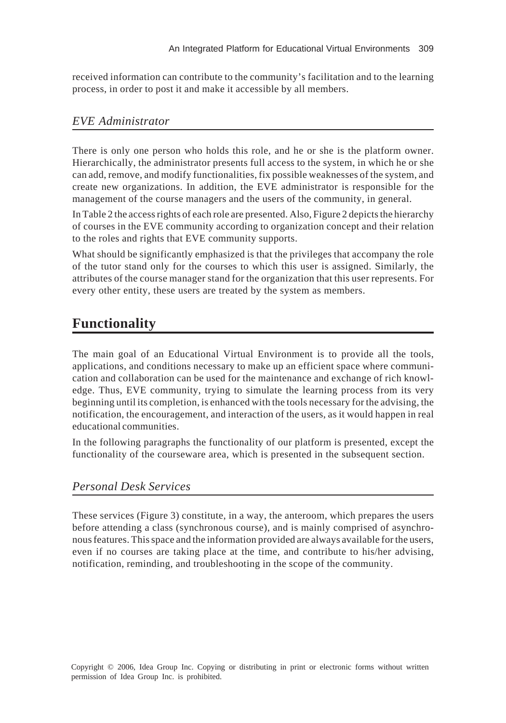received information can contribute to the community's facilitation and to the learning process, in order to post it and make it accessible by all members.

#### *EVE Administrator*

There is only one person who holds this role, and he or she is the platform owner. Hierarchically, the administrator presents full access to the system, in which he or she can add, remove, and modify functionalities, fix possible weaknesses of the system, and create new organizations. In addition, the EVE administrator is responsible for the management of the course managers and the users of the community, in general.

In Table 2 the access rights of each role are presented. Also, Figure 2 depicts the hierarchy of courses in the EVE community according to organization concept and their relation to the roles and rights that EVE community supports.

What should be significantly emphasized is that the privileges that accompany the role of the tutor stand only for the courses to which this user is assigned. Similarly, the attributes of the course manager stand for the organization that this user represents. For every other entity, these users are treated by the system as members.

# **Functionality**

The main goal of an Educational Virtual Environment is to provide all the tools, applications, and conditions necessary to make up an efficient space where communication and collaboration can be used for the maintenance and exchange of rich knowledge. Thus, EVE community, trying to simulate the learning process from its very beginning until its completion, is enhanced with the tools necessary for the advising, the notification, the encouragement, and interaction of the users, as it would happen in real educational communities.

In the following paragraphs the functionality of our platform is presented, except the functionality of the courseware area, which is presented in the subsequent section.

#### *Personal Desk Services*

These services (Figure 3) constitute, in a way, the anteroom, which prepares the users before attending a class (synchronous course), and is mainly comprised of asynchronous features. This space and the information provided are always available for the users, even if no courses are taking place at the time, and contribute to his/her advising, notification, reminding, and troubleshooting in the scope of the community.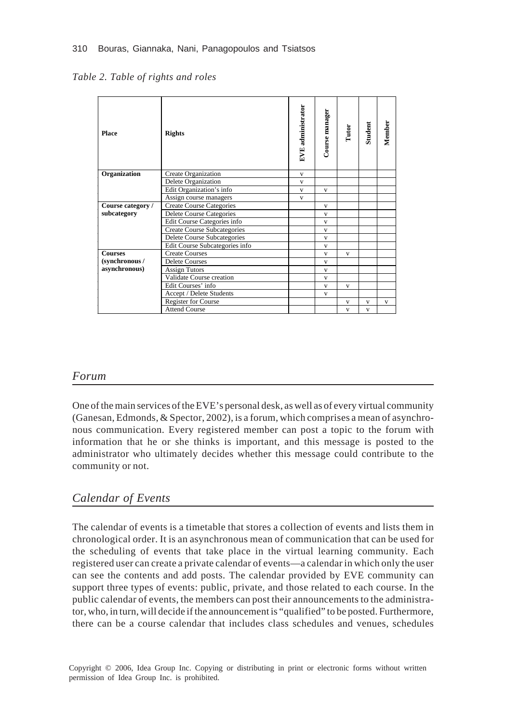| <b>Place</b>      | <b>Rights</b>                      | EVE administrator | Course manager | Tutor        | Student      | Member       |
|-------------------|------------------------------------|-------------------|----------------|--------------|--------------|--------------|
| Organization      | Create Organization                | $\mathbf{V}$      |                |              |              |              |
|                   | Delete Organization                | $\mathbf{V}$      |                |              |              |              |
|                   | Edit Organization's info           | $\mathbf{V}$      | v              |              |              |              |
|                   | Assign course managers             | $\mathbf{V}$      |                |              |              |              |
| Course category / | <b>Create Course Categories</b>    |                   | V              |              |              |              |
| subcategory       | Delete Course Categories           |                   | v              |              |              |              |
|                   | Edit Course Categories info        |                   | v              |              |              |              |
|                   | <b>Create Course Subcategories</b> |                   | v              |              |              |              |
|                   | Delete Course Subcategories        |                   | v              |              |              |              |
|                   | Edit Course Subcategories info     |                   | v              |              |              |              |
| <b>Courses</b>    | <b>Create Courses</b>              |                   | v              | v            |              |              |
| (synchronous /    | <b>Delete Courses</b>              |                   | V              |              |              |              |
| asynchronous)     | <b>Assign Tutors</b>               |                   | V              |              |              |              |
|                   | Validate Course creation           |                   | v              |              |              |              |
|                   | Edit Courses' info                 |                   | V              | V            |              |              |
|                   | Accept / Delete Students           |                   | V              |              |              |              |
|                   | <b>Register for Course</b>         |                   |                | V            | $\mathbf{V}$ | $\mathbf{V}$ |
|                   | <b>Attend Course</b>               |                   |                | $\mathbf{V}$ | $\mathbf{V}$ |              |

*Table 2. Table of rights and roles*

#### *Forum*

One of the main services of the EVE's personal desk, as well as of every virtual community (Ganesan, Edmonds, & Spector, 2002), is a forum, which comprises a mean of asynchronous communication. Every registered member can post a topic to the forum with information that he or she thinks is important, and this message is posted to the administrator who ultimately decides whether this message could contribute to the community or not.

#### *Calendar of Events*

The calendar of events is a timetable that stores a collection of events and lists them in chronological order. It is an asynchronous mean of communication that can be used for the scheduling of events that take place in the virtual learning community. Each registered user can create a private calendar of events—a calendar in which only the user can see the contents and add posts. The calendar provided by EVE community can support three types of events: public, private, and those related to each course. In the public calendar of events, the members can post their announcements to the administrator, who, in turn, will decide if the announcement is "qualified" to be posted. Furthermore, there can be a course calendar that includes class schedules and venues, schedules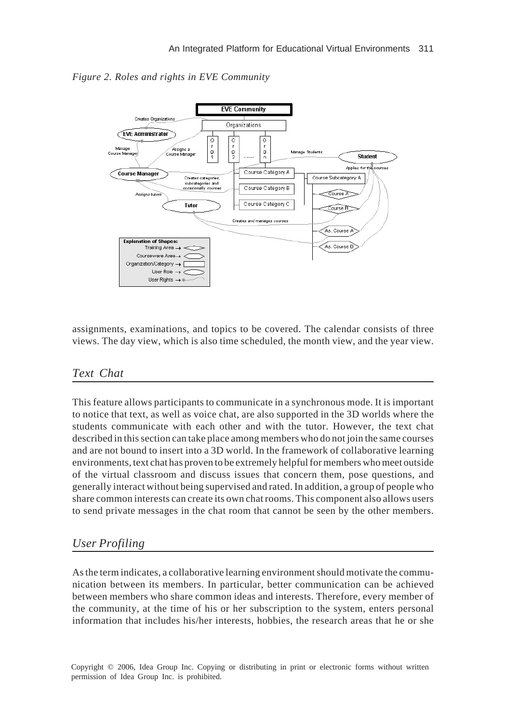

*Figure 2. Roles and rights in EVE Community*

assignments, examinations, and topics to be covered. The calendar consists of three views. The day view, which is also time scheduled, the month view, and the year view.

#### *Text Chat*

This feature allows participants to communicate in a synchronous mode. It is important to notice that text, as well as voice chat, are also supported in the 3D worlds where the students communicate with each other and with the tutor. However, the text chat described in this section can take place among members who do not join the same courses and are not bound to insert into a 3D world. In the framework of collaborative learning environments, text chat has proven to be extremely helpful for members who meet outside of the virtual classroom and discuss issues that concern them, pose questions, and generally interact without being supervised and rated. In addition, a group of people who share common interests can create its own chat rooms. This component also allows users to send private messages in the chat room that cannot be seen by the other members.

#### *User Profiling*

As the term indicates, a collaborative learning environment should motivate the communication between its members. In particular, better communication can be achieved between members who share common ideas and interests. Therefore, every member of the community, at the time of his or her subscription to the system, enters personal information that includes his/her interests, hobbies, the research areas that he or she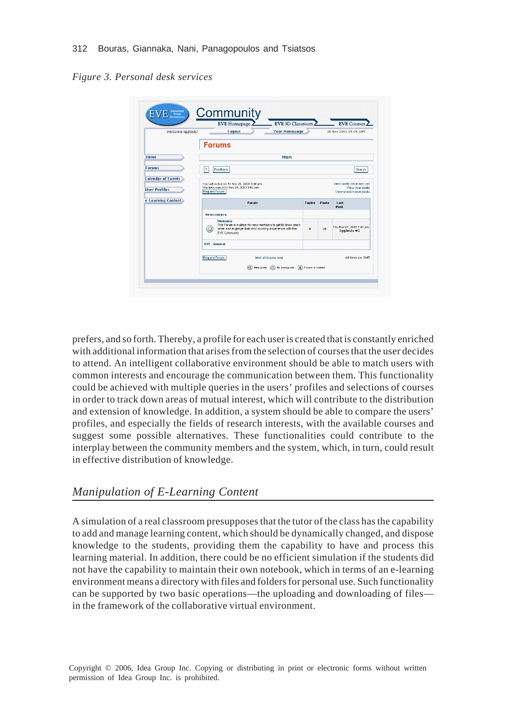*Figure 3. Personal desk services*

| Welcome igglesis!                           | <b>EVE</b> Homepage<br>Logout                                                                                                                                                                                                    | <b>EVE 3D Classroom</b><br><b>Your Homepage</b> |    | <b>EVE Courses</b><br>28 Nov 2003 15:04 GMT          |  |  |  |
|---------------------------------------------|----------------------------------------------------------------------------------------------------------------------------------------------------------------------------------------------------------------------------------|-------------------------------------------------|----|------------------------------------------------------|--|--|--|
|                                             | <b>Forums</b>                                                                                                                                                                                                                    |                                                 |    |                                                      |  |  |  |
| Home                                        | Main                                                                                                                                                                                                                             |                                                 |    |                                                      |  |  |  |
| <b>Forums</b>                               | $\overline{\mathcal{L}}$<br>Feedback<br>Search                                                                                                                                                                                   |                                                 |    |                                                      |  |  |  |
| <b>Liser Profiles</b><br>e-Learning Content | View posts since last visit<br>You last visited on Fri Nov 28, 2003 3:40 pm<br>The time now is Fri Nov 28, 2003 3:52 pm<br>View your posts<br>Request Forum<br>View unanswered posts<br>Forum<br>Posts<br>Topics<br>Last<br>Post |                                                 |    |                                                      |  |  |  |
|                                             | <b>Newcomers</b>                                                                                                                                                                                                                 |                                                 |    |                                                      |  |  |  |
|                                             | Welcome<br>This Forum is a place for new members to get to know each<br>other and ecgange their first working experience with the<br>Z)<br>EVE Community                                                                         | 6                                               | 25 | Thu Nov 27, 2003 7:41 pm<br>Igglesis $\triangleleft$ |  |  |  |
|                                             | <b>FVF</b> - General                                                                                                                                                                                                             |                                                 |    |                                                      |  |  |  |
|                                             | <b>Request Forum</b><br>Mark all forums read                                                                                                                                                                                     |                                                 |    | All times are GMT                                    |  |  |  |

prefers, and so forth. Thereby, a profile for each user is created that is constantly enriched with additional information that arises from the selection of courses that the user decides to attend. An intelligent collaborative environment should be able to match users with common interests and encourage the communication between them. This functionality could be achieved with multiple queries in the users' profiles and selections of courses in order to track down areas of mutual interest, which will contribute to the distribution and extension of knowledge. In addition, a system should be able to compare the users' profiles, and especially the fields of research interests, with the available courses and suggest some possible alternatives. These functionalities could contribute to the interplay between the community members and the system, which, in turn, could result in effective distribution of knowledge.

#### *Manipulation of E-Learning Content*

A simulation of a real classroom presupposes that the tutor of the class has the capability to add and manage learning content, which should be dynamically changed, and dispose knowledge to the students, providing them the capability to have and process this learning material. In addition, there could be no efficient simulation if the students did not have the capability to maintain their own notebook, which in terms of an e-learning environment means a directory with files and folders for personal use. Such functionality can be supported by two basic operations—the uploading and downloading of files in the framework of the collaborative virtual environment.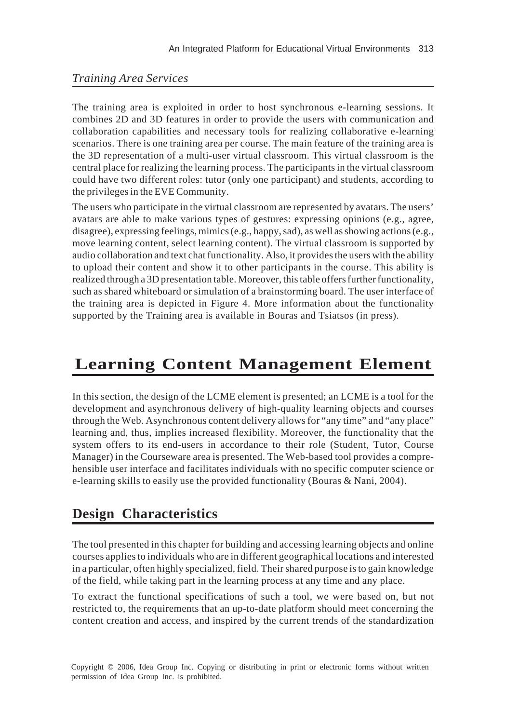#### *Training Area Services*

The training area is exploited in order to host synchronous e-learning sessions. It combines 2D and 3D features in order to provide the users with communication and collaboration capabilities and necessary tools for realizing collaborative e-learning scenarios. There is one training area per course. The main feature of the training area is the 3D representation of a multi-user virtual classroom. This virtual classroom is the central place for realizing the learning process. The participants in the virtual classroom could have two different roles: tutor (only one participant) and students, according to the privileges in the EVE Community.

The users who participate in the virtual classroom are represented by avatars. The users' avatars are able to make various types of gestures: expressing opinions (e.g., agree, disagree), expressing feelings, mimics (e.g., happy, sad), as well as showing actions (e.g., move learning content, select learning content). The virtual classroom is supported by audio collaboration and text chat functionality. Also, it provides the users with the ability to upload their content and show it to other participants in the course. This ability is realized through a 3D presentation table. Moreover, this table offers further functionality, such as shared whiteboard or simulation of a brainstorming board. The user interface of the training area is depicted in Figure 4. More information about the functionality supported by the Training area is available in Bouras and Tsiatsos (in press).

# **Learning Content Management Element**

In this section, the design of the LCME element is presented; an LCME is a tool for the development and asynchronous delivery of high-quality learning objects and courses through the Web. Asynchronous content delivery allows for "any time" and "any place" learning and, thus, implies increased flexibility. Moreover, the functionality that the system offers to its end-users in accordance to their role (Student, Tutor, Course Manager) in the Courseware area is presented. The Web-based tool provides a comprehensible user interface and facilitates individuals with no specific computer science or e-learning skills to easily use the provided functionality (Bouras & Nani, 2004).

### **Design Characteristics**

The tool presented in this chapter for building and accessing learning objects and online courses applies to individuals who are in different geographical locations and interested in a particular, often highly specialized, field. Their shared purpose is to gain knowledge of the field, while taking part in the learning process at any time and any place.

To extract the functional specifications of such a tool, we were based on, but not restricted to, the requirements that an up-to-date platform should meet concerning the content creation and access, and inspired by the current trends of the standardization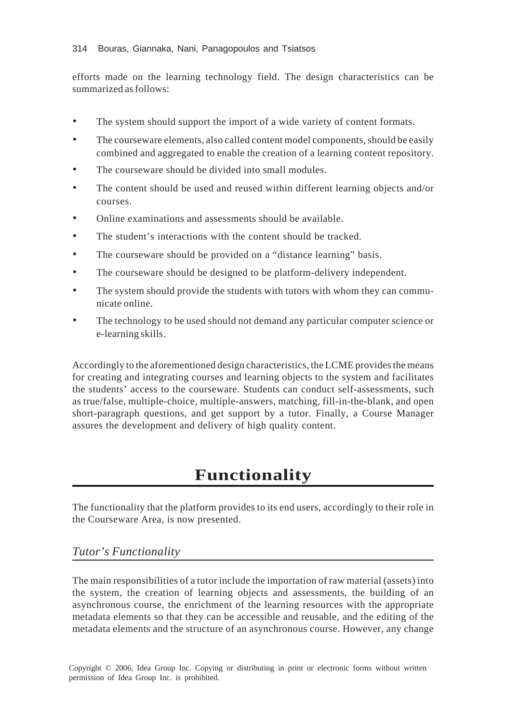efforts made on the learning technology field. The design characteristics can be summarized as follows:

- The system should support the import of a wide variety of content formats.
- The courseware elements, also called content model components, should be easily combined and aggregated to enable the creation of a learning content repository.
- The courseware should be divided into small modules.
- The content should be used and reused within different learning objects and/or courses.
- Online examinations and assessments should be available.
- The student's interactions with the content should be tracked.
- The courseware should be provided on a "distance learning" basis.
- The courseware should be designed to be platform-delivery independent.
- The system should provide the students with tutors with whom they can communicate online.
- The technology to be used should not demand any particular computer science or e-learning skills.

Accordingly to the aforementioned design characteristics, the LCME provides the means for creating and integrating courses and learning objects to the system and facilitates the students' access to the courseware. Students can conduct self-assessments, such as true/false, multiple-choice, multiple-answers, matching, fill-in-the-blank, and open short-paragraph questions, and get support by a tutor. Finally, a Course Manager assures the development and delivery of high quality content.

# **Functionality**

The functionality that the platform provides to its end users, accordingly to their role in the Courseware Area, is now presented.

#### *Tutor's Functionality*

The main responsibilities of a tutor include the importation of raw material (assets) into the system, the creation of learning objects and assessments, the building of an asynchronous course, the enrichment of the learning resources with the appropriate metadata elements so that they can be accessible and reusable, and the editing of the metadata elements and the structure of an asynchronous course. However, any change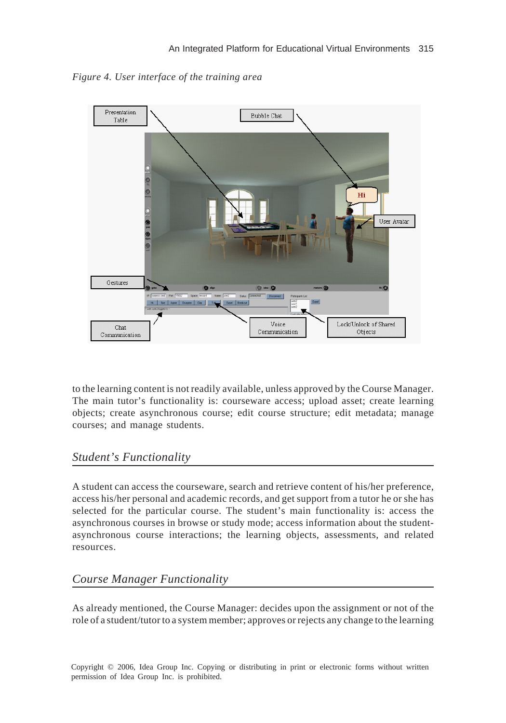

*Figure 4. User interface of the training area*

to the learning content is not readily available, unless approved by the Course Manager. The main tutor's functionality is: courseware access; upload asset; create learning objects; create asynchronous course; edit course structure; edit metadata; manage courses; and manage students.

#### *Student's Functionality*

A student can access the courseware, search and retrieve content of his/her preference, access his/her personal and academic records, and get support from a tutor he or she has selected for the particular course. The student's main functionality is: access the asynchronous courses in browse or study mode; access information about the studentasynchronous course interactions; the learning objects, assessments, and related resources.

#### *Course Manager Functionality*

As already mentioned, the Course Manager: decides upon the assignment or not of the role of a student/tutor to a system member; approves or rejects any change to the learning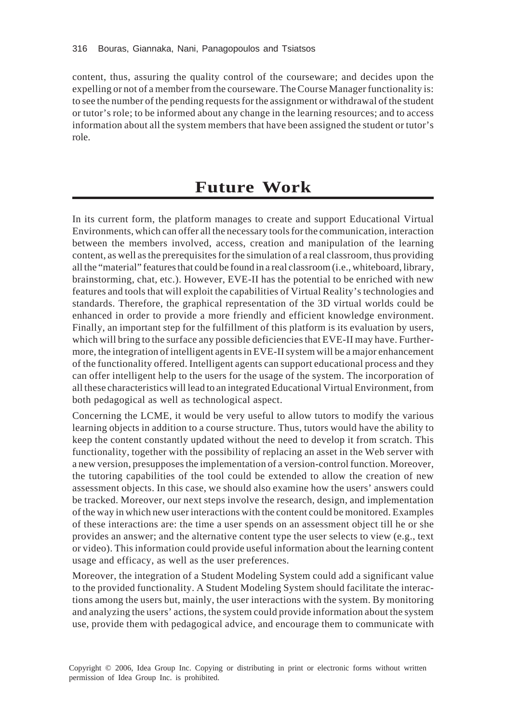content, thus, assuring the quality control of the courseware; and decides upon the expelling or not of a member from the courseware. The Course Manager functionality is: to see the number of the pending requests for the assignment or withdrawal of the student or tutor's role; to be informed about any change in the learning resources; and to access information about all the system members that have been assigned the student or tutor's role.

# **Future Work**

In its current form, the platform manages to create and support Educational Virtual Environments, which can offer all the necessary tools for the communication, interaction between the members involved, access, creation and manipulation of the learning content, as well as the prerequisites for the simulation of a real classroom, thus providing all the "material" features that could be found in a real classroom (i.e., whiteboard, library, brainstorming, chat, etc.). However, EVE-II has the potential to be enriched with new features and tools that will exploit the capabilities of Virtual Reality's technologies and standards. Therefore, the graphical representation of the 3D virtual worlds could be enhanced in order to provide a more friendly and efficient knowledge environment. Finally, an important step for the fulfillment of this platform is its evaluation by users, which will bring to the surface any possible deficiencies that EVE-II may have. Furthermore, the integration of intelligent agents in EVE-II system will be a major enhancement of the functionality offered. Intelligent agents can support educational process and they can offer intelligent help to the users for the usage of the system. The incorporation of all these characteristics will lead to an integrated Educational Virtual Environment, from both pedagogical as well as technological aspect.

Concerning the LCME, it would be very useful to allow tutors to modify the various learning objects in addition to a course structure. Thus, tutors would have the ability to keep the content constantly updated without the need to develop it from scratch. This functionality, together with the possibility of replacing an asset in the Web server with a new version, presupposes the implementation of a version-control function. Moreover, the tutoring capabilities of the tool could be extended to allow the creation of new assessment objects. In this case, we should also examine how the users' answers could be tracked. Moreover, our next steps involve the research, design, and implementation of the way in which new user interactions with the content could be monitored. Examples of these interactions are: the time a user spends on an assessment object till he or she provides an answer; and the alternative content type the user selects to view (e.g., text or video). This information could provide useful information about the learning content usage and efficacy, as well as the user preferences.

Moreover, the integration of a Student Modeling System could add a significant value to the provided functionality. A Student Modeling System should facilitate the interactions among the users but, mainly, the user interactions with the system. By monitoring and analyzing the users' actions, the system could provide information about the system use, provide them with pedagogical advice, and encourage them to communicate with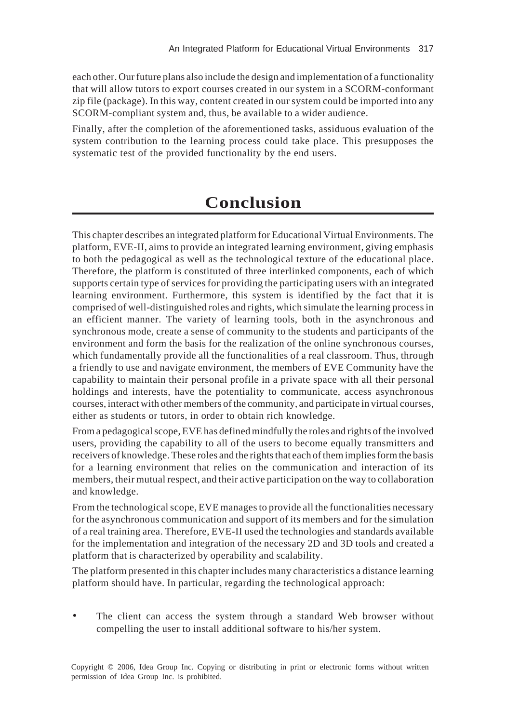each other. Our future plans also include the design and implementation of a functionality that will allow tutors to export courses created in our system in a SCORM-conformant zip file (package). In this way, content created in our system could be imported into any SCORM-compliant system and, thus, be available to a wider audience.

Finally, after the completion of the aforementioned tasks, assiduous evaluation of the system contribution to the learning process could take place. This presupposes the systematic test of the provided functionality by the end users.

# **Conclusion**

This chapter describes an integrated platform for Educational Virtual Environments. The platform, EVE-II, aims to provide an integrated learning environment, giving emphasis to both the pedagogical as well as the technological texture of the educational place. Therefore, the platform is constituted of three interlinked components, each of which supports certain type of services for providing the participating users with an integrated learning environment. Furthermore, this system is identified by the fact that it is comprised of well-distinguished roles and rights, which simulate the learning process in an efficient manner. The variety of learning tools, both in the asynchronous and synchronous mode, create a sense of community to the students and participants of the environment and form the basis for the realization of the online synchronous courses, which fundamentally provide all the functionalities of a real classroom. Thus, through a friendly to use and navigate environment, the members of EVE Community have the capability to maintain their personal profile in a private space with all their personal holdings and interests, have the potentiality to communicate, access asynchronous courses, interact with other members of the community, and participate in virtual courses, either as students or tutors, in order to obtain rich knowledge.

From a pedagogical scope, EVE has defined mindfully the roles and rights of the involved users, providing the capability to all of the users to become equally transmitters and receivers of knowledge. These roles and the rights that each of them implies form the basis for a learning environment that relies on the communication and interaction of its members, their mutual respect, and their active participation on the way to collaboration and knowledge.

From the technological scope, EVE manages to provide all the functionalities necessary for the asynchronous communication and support of its members and for the simulation of a real training area. Therefore, EVE-II used the technologies and standards available for the implementation and integration of the necessary 2D and 3D tools and created a platform that is characterized by operability and scalability.

The platform presented in this chapter includes many characteristics a distance learning platform should have. In particular, regarding the technological approach:

The client can access the system through a standard Web browser without compelling the user to install additional software to his/her system.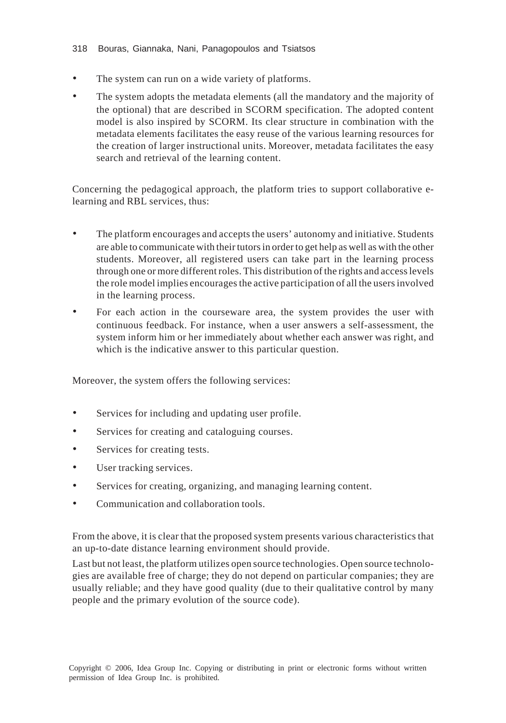- The system can run on a wide variety of platforms.
- The system adopts the metadata elements (all the mandatory and the majority of the optional) that are described in SCORM specification. The adopted content model is also inspired by SCORM. Its clear structure in combination with the metadata elements facilitates the easy reuse of the various learning resources for the creation of larger instructional units. Moreover, metadata facilitates the easy search and retrieval of the learning content.

Concerning the pedagogical approach, the platform tries to support collaborative elearning and RBL services, thus:

- The platform encourages and accepts the users' autonomy and initiative. Students are able to communicate with their tutors in order to get help as well as with the other students. Moreover, all registered users can take part in the learning process through one or more different roles. This distribution of the rights and access levels the role model implies encourages the active participation of all the users involved in the learning process.
- For each action in the courseware area, the system provides the user with continuous feedback. For instance, when a user answers a self-assessment, the system inform him or her immediately about whether each answer was right, and which is the indicative answer to this particular question.

Moreover, the system offers the following services:

- Services for including and updating user profile.
- Services for creating and cataloguing courses.
- Services for creating tests.
- User tracking services.
- Services for creating, organizing, and managing learning content.
- Communication and collaboration tools.

From the above, it is clear that the proposed system presents various characteristics that an up-to-date distance learning environment should provide.

Last but not least, the platform utilizes open source technologies. Open source technologies are available free of charge; they do not depend on particular companies; they are usually reliable; and they have good quality (due to their qualitative control by many people and the primary evolution of the source code).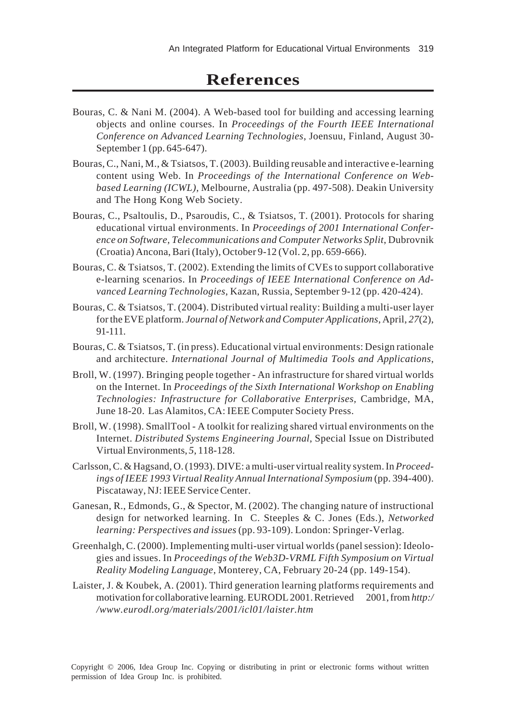### **References**

- Bouras, C. & Nani M. (2004). A Web-based tool for building and accessing learning objects and online courses. In *Proceedings of the Fourth IEEE International Conference on Advanced Learning Technologies*, Joensuu, Finland, August 30- September 1 (pp. 645-647).
- Bouras, C., Nani, M., & Tsiatsos, T. (2003). Building reusable and interactive e-learning content using Web. In *Proceedings of the International Conference on Webbased Learning (ICWL),* Melbourne, Australia (pp. 497-508). Deakin University and The Hong Kong Web Society.
- Bouras, C., Psaltoulis, D., Psaroudis, C., & Tsiatsos, T. (2001). Protocols for sharing educational virtual environments. In *Proceedings of 2001 International Conference on Software, Telecommunications and Computer Networks Split*, Dubrovnik (Croatia) Ancona, Bari (Italy), October 9-12 (Vol. 2, pp. 659-666).
- Bouras, C. & Tsiatsos, T. (2002). Extending the limits of CVEs to support collaborative e-learning scenarios. In *Proceedings of IEEE International Conference on Advanced Learning Technologies*, Kazan, Russia, September 9-12 (pp. 420-424).
- Bouras, C. & Tsiatsos, T. (2004). Distributed virtual reality: Building a multi-user layer for the EVE platform. *Journal of Network and Computer Applications*, April, *27*(2), 91-111.
- Bouras, C. & Tsiatsos, T. (in press). Educational virtual environments: Design rationale and architecture. *International Journal of Multimedia Tools and Applications*,
- Broll, W. (1997). Bringing people together An infrastructure for shared virtual worlds on the Internet. In *Proceedings of the Sixth International Workshop on Enabling Technologies: Infrastructure for Collaborative Enterprises,* Cambridge, MA, June 18-20. Las Alamitos, CA: IEEE Computer Society Press.
- Broll, W. (1998). SmallTool A toolkit for realizing shared virtual environments on the Internet. *Distributed Systems Engineering Journal*, Special Issue on Distributed Virtual Environments, *5*, 118-128.
- Carlsson, C. & Hagsand, O. (1993). DIVE: a multi-user virtual reality system. In *Proceedings of IEEE 1993 Virtual Reality Annual International Symposium* (pp. 394-400). Piscataway, NJ: IEEE Service Center.
- Ganesan, R., Edmonds, G., & Spector, M. (2002). The changing nature of instructional design for networked learning. In C. Steeples & C. Jones (Eds.), *Networked learning: Perspectives and issues* (pp. 93-109). London: Springer-Verlag.
- Greenhalgh, C. (2000). Implementing multi-user virtual worlds (panel session): Ideologies and issues. In *Proceedings of the Web3D-VRML Fifth Symposium on Virtual Reality Modeling Language*, Monterey, CA, February 20-24 (pp. 149-154).
- Laister, J. & Koubek, A. (2001). Third generation learning platforms requirements and motivation for collaborative learning. EURODL 2001. Retrieved 2001, from *http:/ /www.eurodl.org/materials/2001/icl01/laister.htm*